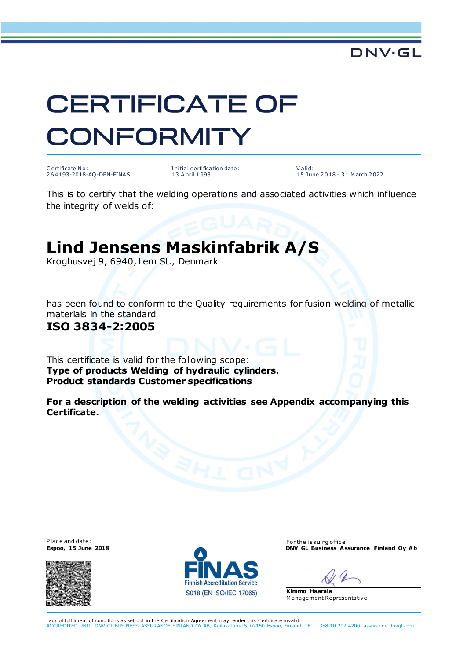

# **CERTIFICATE OF CONFORMITY**

C ertificate N o: 2 6 4 193-2018-AQ-DEN-FINAS I nitial c ertification date: 1 3 A pril 1 993

V alid: 15 June 2 0 18 - 3 1 M arch 2 022

This is to certify that the welding operations and associated activities which influence the integrity of welds of:

## **Lind Jensens Maskinfabrik A/S**

Kroghusvej 9, 6940, Lem St., Denmark

has been found to conform to the Quality requirements for fusion welding of metallic materials in the standard

#### **ISO 3834-2:2005**

This certificate is valid for the following scope: **Type of products Welding of hydraulic cylinders. Product standards Customer specifications**

**For a description of the welding activities see Appendix accompanying this Certificate.**





Place and date: For the issuing office:<br>
For the issuing office:<br>
For the issuing office:<br> **Espoo, 15 June 2018 ENV GL Business Assurance Finland Oy Ab** 



**Kimmo Haarala** M anagement Representative

Lack of fulfilment of conditions as set out in the Certification Agreement may render this Certificate invalid. ACCREDITED UNIT: DNV GL BUSINESS ASSURANCE FINLAND OY AB, Keilasatama 5, 02150 Espoo, Finland. TEL:+358 10 292 4200. assurance.dnvgl.com